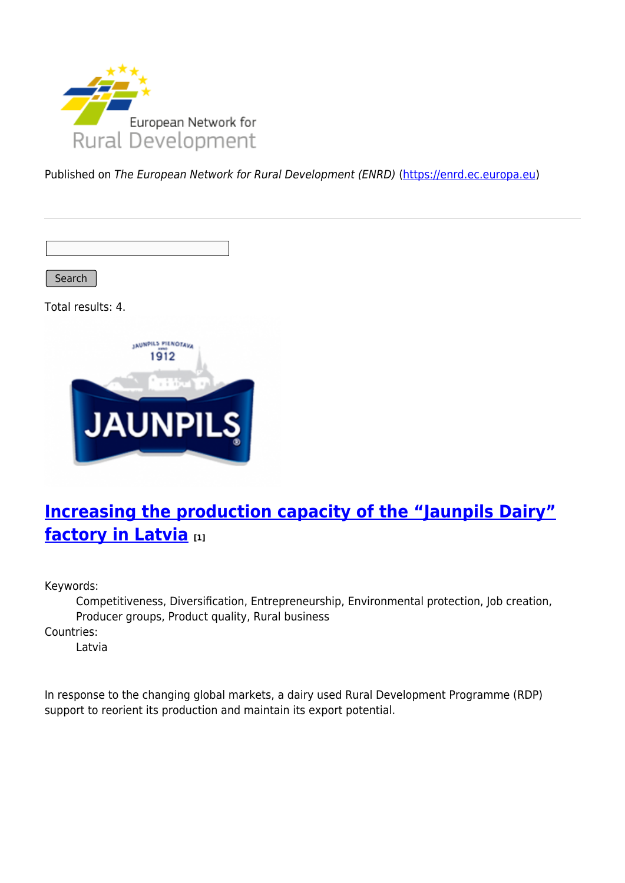

Published on The European Network for Rural Development (ENRD) [\(https://enrd.ec.europa.eu](https://enrd.ec.europa.eu))

Search

Total results: 4.



# **[Increasing the production capacity of the "Jaunpils Dairy"](https://enrd.ec.europa.eu/projects-practice/increasing-production-capacity-jaunpils-dairy-factory-latvia_en) [factory in Latvia](https://enrd.ec.europa.eu/projects-practice/increasing-production-capacity-jaunpils-dairy-factory-latvia_en) [1]**

Keywords:

Competitiveness, Diversification, Entrepreneurship, Environmental protection, Job creation, Producer groups, Product quality, Rural business

Countries:

Latvia

In response to the changing global markets, a dairy used Rural Development Programme (RDP) support to reorient its production and maintain its export potential.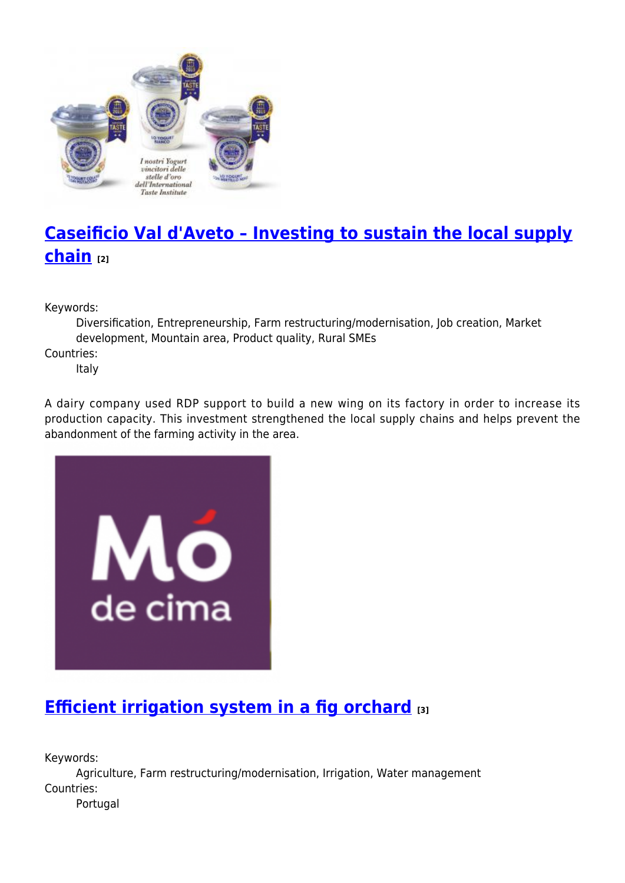

# **[Caseificio Val d'Aveto – Investing to sustain the local supply](https://enrd.ec.europa.eu/projects-practice/caseificio-val-daveto-investing-sustain-local-supply-chain_en) [chain](https://enrd.ec.europa.eu/projects-practice/caseificio-val-daveto-investing-sustain-local-supply-chain_en) [2]**

Keywords:

Diversification, Entrepreneurship, Farm restructuring/modernisation, Job creation, Market development, Mountain area, Product quality, Rural SMEs Countries:

Italy

A dairy company used RDP support to build a new wing on its factory in order to increase its production capacity. This investment strengthened the local supply chains and helps prevent the abandonment of the farming activity in the area.



# **[Efficient irrigation system in a fig orchard](https://enrd.ec.europa.eu/projects-practice/efficient-irrigation-system-fig-orchard_en) [3]**

Keywords:

Agriculture, Farm restructuring/modernisation, Irrigation, Water management Countries: Portugal